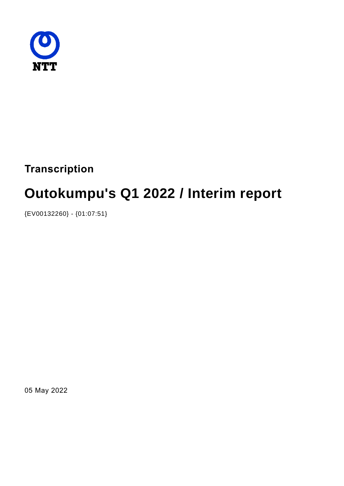

**Transcription**

# **Outokumpu's Q1 2022 / Interim report**

{EV00132260} - {01:07:51}

05 May 2022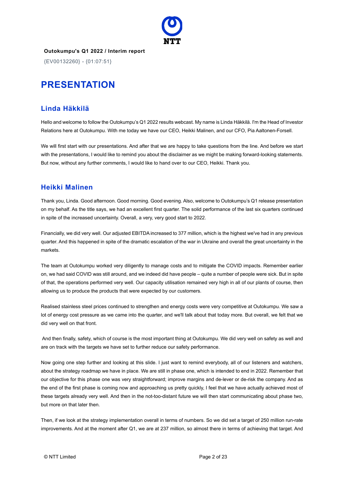

{EV00132260} - {01:07:51}

## **PRESENTATION**

### **Linda Häkkilä**

Hello and welcome to follow the Outokumpu's Q1 2022 results webcast. My name is Linda Häkkilä. I'm the Head of Investor Relations here at Outokumpu. With me today we have our CEO, Heikki Malinen, and our CFO, Pia Aaltonen-Forsell.

We will first start with our presentations. And after that we are happy to take questions from the line. And before we start with the presentations, I would like to remind you about the disclaimer as we might be making forward-looking statements. But now, without any further comments, I would like to hand over to our CEO, Heikki. Thank you.

### **Heikki Malinen**

Thank you, Linda. Good afternoon. Good morning. Good evening. Also, welcome to Outokumpu's Q1 release presentation on my behalf. As the title says, we had an excellent first quarter. The solid performance of the last six quarters continued in spite of the increased uncertainty. Overall, a very, very good start to 2022.

Financially, we did very well. Our adjusted EBITDA increased to 377 million, which is the highest we've had in any previous quarter. And this happened in spite of the dramatic escalation of the war in Ukraine and overall the great uncertainty in the markets.

The team at Outokumpu worked very diligently to manage costs and to mitigate the COVID impacts. Remember earlier on, we had said COVID was still around, and we indeed did have people – quite a number of people were sick. But in spite of that, the operations performed very well. Our capacity utilisation remained very high in all of our plants of course, then allowing us to produce the products that were expected by our customers.

Realised stainless steel prices continued to strengthen and energy costs were very competitive at Outokumpu. We saw a lot of energy cost pressure as we came into the quarter, and we'll talk about that today more. But overall, we felt that we did very well on that front.

And then finally, safety, which of course is the most important thing at Outokumpu. We did very well on safety as well and are on track with the targets we have set to further reduce our safety performance.

Now going one step further and looking at this slide. I just want to remind everybody, all of our listeners and watchers, about the strategy roadmap we have in place. We are still in phase one, which is intended to end in 2022. Remember that our objective for this phase one was very straightforward; improve margins and de-lever or de-risk the company. And as the end of the first phase is coming now and approaching us pretty quickly, I feel that we have actually achieved most of these targets already very well. And then in the not-too-distant future we will then start communicating about phase two, but more on that later then.

Then, if we look at the strategy implementation overall in terms of numbers. So we did set a target of 250 million run-rate improvements. And at the moment after Q1, we are at 237 million, so almost there in terms of achieving that target. And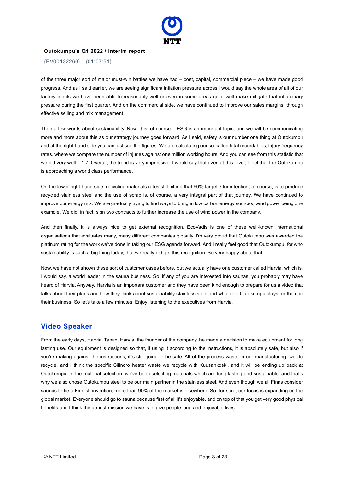

{EV00132260} - {01:07:51}

of the three major sort of major must-win battles we have had – cost, capital, commercial piece – we have made good progress. And as I said earlier, we are seeing significant inflation pressure across I would say the whole area of all of our factory inputs we have been able to reasonably well or even in some areas quite well make mitigate that inflationary pressure during the first quarter. And on the commercial side, we have continued to improve our sales margins, through effective selling and mix management.

Then a few words about sustainability. Now, this, of course – ESG is an important topic, and we will be communicating more and more about this as our strategy journey goes forward. As I said, safety is our number one thing at Outokumpu and at the right-hand side you can just see the figures. We are calculating our so-called total recordables, injury frequency rates, where we compare the number of injuries against one million working hours. And you can see from this statistic that we did very well – 1.7. Overall, the trend is very impressive. I would say that even at this level, I feel that the Outokumpu is approaching a world class performance.

On the lower right-hand side, recycling materials rates still hitting that 90% target. Our intention, of course, is to produce recycled stainless steel and the use of scrap is, of course, a very integral part of that journey. We have continued to improve our energy mix. We are gradually trying to find ways to bring in low carbon energy sources, wind power being one example. We did, in fact, sign two contracts to further increase the use of wind power in the company.

And then finally, it is always nice to get external recognition. EcoVadis is one of these well-known international organisations that evaluates many, many different companies globally. I'm very proud that Outokumpu was awarded the platinum rating for the work we've done in taking our ESG agenda forward. And I really feel good that Outokumpu, for who sustainability is such a big thing today, that we really did get this recognition. So very happy about that.

Now, we have not shown these sort of customer cases before, but we actually have one customer called Harvia, which is, I would say, a world leader in the sauna business. So, if any of you are interested into saunas, you probably may have heard of Harvia. Anyway, Harvia is an important customer and they have been kind enough to prepare for us a video that talks about their plans and how they think about sustainability stainless steel and what role Outokumpu plays for them in their business. So let's take a few minutes. Enjoy listening to the executives from Harvia.

### **Video Speaker**

From the early days, Harvia, Tapani Harvia, the founder of the company, he made a decision to make equipment for long lasting use. Our equipment is designed so that, if using it according to the instructions, it is absolutely safe, but also if you're making against the instructions, it`s still going to be safe. All of the process waste in our manufacturing, we do recycle, and I think the specific Cilindro heater waste we recycle with Kuusankoski, and it will be ending up back at Outokumpu. In the material selection, we've been selecting materials which are long lasting and sustainable, and that's why we also chose Outokumpu steel to be our main partner in the stainless steel. And even though we all Finns consider saunas to be a Finnish invention, more than 90% of the market is elsewhere. So, for sure, our focus is expanding on the global market. Everyone should go to sauna because first of all it's enjoyable, and on top of that you get very good physical benefits and I think the utmost mission we have is to give people long and enjoyable lives.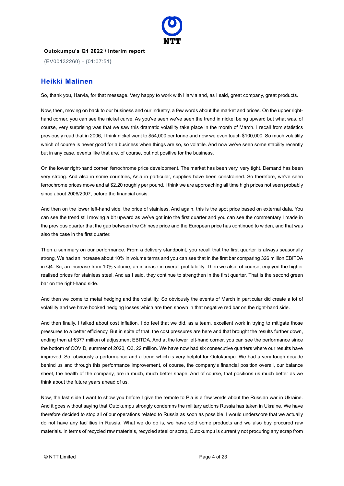

{EV00132260} - {01:07:51}

### **Heikki Malinen**

So, thank you, Harvia, for that message. Very happy to work with Harvia and, as I said, great company, great products.

Now, then, moving on back to our business and our industry, a few words about the market and prices. On the upper righthand corner, you can see the nickel curve. As you've seen we've seen the trend in nickel being upward but what was, of course, very surprising was that we saw this dramatic volatility take place in the month of March. I recall from statistics previously read that in 2006, I think nickel went to \$54,000 per tonne and now we even touch \$100,000. So much volatility which of course is never good for a business when things are so, so volatile. And now we've seen some stability recently but in any case, events like that are, of course, but not positive for the business.

On the lower right-hand corner, ferrochrome price development. The market has been very, very tight. Demand has been very strong. And also in some countries, Asia in particular, supplies have been constrained. So therefore, we've seen ferrochrome prices move and at \$2.20 roughly per pound, I think we are approaching all time high prices not seen probably since about 2006/2007, before the financial crisis.

And then on the lower left-hand side, the price of stainless. And again, this is the spot price based on external data. You can see the trend still moving a bit upward as we've got into the first quarter and you can see the commentary I made in the previous quarter that the gap between the Chinese price and the European price has continued to widen, and that was also the case in the first quarter.

Then a summary on our performance. From a delivery standpoint, you recall that the first quarter is always seasonally strong. We had an increase about 10% in volume terms and you can see that in the first bar comparing 326 million EBITDA in Q4. So, an increase from 10% volume, an increase in overall profitability. Then we also, of course, enjoyed the higher realised prices for stainless steel. And as I said, they continue to strengthen in the first quarter. That is the second green bar on the right-hand side.

And then we come to metal hedging and the volatility. So obviously the events of March in particular did create a lot of volatility and we have booked hedging losses which are then shown in that negative red bar on the right-hand side.

And then finally, I talked about cost inflation. I do feel that we did, as a team, excellent work in trying to mitigate those pressures to a better efficiency. But in spite of that, the cost pressures are here and that brought the results further down, ending then at €377 million of adjustment EBITDA. And at the lower left-hand corner, you can see the performance since the bottom of COVID, summer of 2020, Q3, 22 million. We have now had six consecutive quarters where our results have improved. So, obviously a performance and a trend which is very helpful for Outokumpu. We had a very tough decade behind us and through this performance improvement, of course, the company's financial position overall, our balance sheet, the health of the company, are in much, much better shape. And of course, that positions us much better as we think about the future years ahead of us.

Now, the last slide I want to show you before I give the remote to Pia is a few words about the Russian war in Ukraine. And it goes without saying that Outokumpu strongly condemns the military actions Russia has taken in Ukraine. We have therefore decided to stop all of our operations related to Russia as soon as possible. I would underscore that we actually do not have any facilities in Russia. What we do do is, we have sold some products and we also buy procured raw materials. In terms of recycled raw materials, recycled steel or scrap, Outokumpu is currently not procuring any scrap from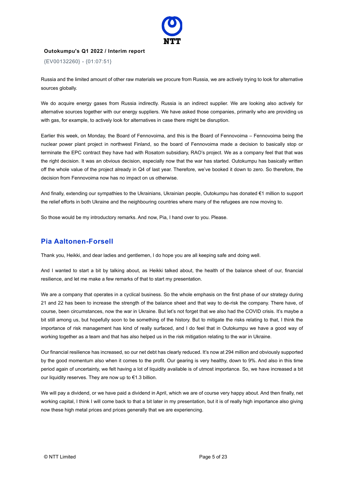

{EV00132260} - {01:07:51}

Russia and the limited amount of other raw materials we procure from Russia, we are actively trying to look for alternative sources globally.

We do acquire energy gases from Russia indirectly. Russia is an indirect supplier. We are looking also actively for alternative sources together with our energy suppliers. We have asked those companies, primarily who are providing us with gas, for example, to actively look for alternatives in case there might be disruption.

Earlier this week, on Monday, the Board of Fennovoima, and this is the Board of Fennovoima – Fennovoima being the nuclear power plant project in northwest Finland, so the board of Fennovoima made a decision to basically stop or terminate the EPC contract they have had with Rosatom subsidiary, RAO's project. We as a company feel that that was the right decision. It was an obvious decision, especially now that the war has started. Outokumpu has basically written off the whole value of the project already in Q4 of last year. Therefore, we've booked it down to zero. So therefore, the decision from Fennovoima now has no impact on us otherwise.

And finally, extending our sympathies to the Ukrainians, Ukrainian people, Outokumpu has donated €1 million to support the relief efforts in both Ukraine and the neighbouring countries where many of the refugees are now moving to.

So those would be my introductory remarks. And now, Pia, I hand over to you. Please.

### **Pia Aaltonen-Forsell**

Thank you, Heikki, and dear ladies and gentlemen, I do hope you are all keeping safe and doing well.

And I wanted to start a bit by talking about, as Heikki talked about, the health of the balance sheet of our, financial resilience, and let me make a few remarks of that to start my presentation.

We are a company that operates in a cyclical business. So the whole emphasis on the first phase of our strategy during 21 and 22 has been to increase the strength of the balance sheet and that way to de-risk the company. There have, of course, been circumstances, now the war in Ukraine. But let's not forget that we also had the COVID crisis. It's maybe a bit still among us, but hopefully soon to be something of the history. But to mitigate the risks relating to that, I think the importance of risk management has kind of really surfaced, and I do feel that in Outokumpu we have a good way of working together as a team and that has also helped us in the risk mitigation relating to the war in Ukraine.

Our financial resilience has increased, so our net debt has clearly reduced. It's now at 294 million and obviously supported by the good momentum also when it comes to the profit. Our gearing is very healthy, down to 9%. And also in this time period again of uncertainty, we felt having a lot of liquidity available is of utmost importance. So, we have increased a bit our liquidity reserves. They are now up to €1.3 billion.

We will pay a dividend, or we have paid a dividend in April, which we are of course very happy about. And then finally, net working capital, I think I will come back to that a bit later in my presentation, but it is of really high importance also giving now these high metal prices and prices generally that we are experiencing.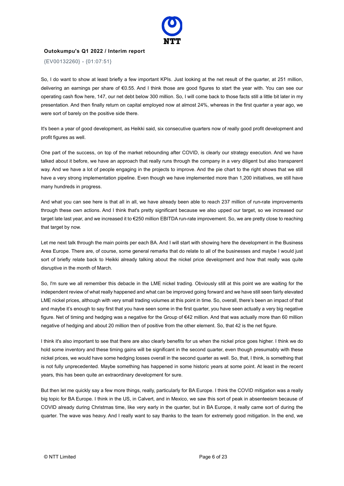

{EV00132260} - {01:07:51}

So, I do want to show at least briefly a few important KPIs. Just looking at the net result of the quarter, at 251 million, delivering an earnings per share of €0.55. And I think those are good figures to start the year with. You can see our operating cash flow here, 147, our net debt below 300 million. So, I will come back to those facts still a little bit later in my presentation. And then finally return on capital employed now at almost 24%, whereas in the first quarter a year ago, we were sort of barely on the positive side there.

It's been a year of good development, as Heikki said, six consecutive quarters now of really good profit development and profit figures as well.

One part of the success, on top of the market rebounding after COVID, is clearly our strategy execution. And we have talked about it before, we have an approach that really runs through the company in a very diligent but also transparent way. And we have a lot of people engaging in the projects to improve. And the pie chart to the right shows that we still have a very strong implementation pipeline. Even though we have implemented more than 1,200 initiatives, we still have many hundreds in progress.

And what you can see here is that all in all, we have already been able to reach 237 million of run-rate improvements through these own actions. And I think that's pretty significant because we also upped our target, so we increased our target late last year, and we increased it to €250 million EBITDA run-rate improvement. So, we are pretty close to reaching that target by now.

Let me next talk through the main points per each BA. And I will start with showing here the development in the Business Area Europe. There are, of course, some general remarks that do relate to all of the businesses and maybe I would just sort of briefly relate back to Heikki already talking about the nickel price development and how that really was quite disruptive in the month of March.

So, I'm sure we all remember this debacle in the LME nickel trading. Obviously still at this point we are waiting for the independent review of what really happened and what can be improved going forward and we have still seen fairly elevated LME nickel prices, although with very small trading volumes at this point in time. So, overall, there's been an impact of that and maybe it's enough to say first that you have seen some in the first quarter, you have seen actually a very big negative figure. Net of timing and hedging was a negative for the Group of €42 million. And that was actually more than 60 million negative of hedging and about 20 million then of positive from the other element. So, that 42 is the net figure.

I think it's also important to see that there are also clearly benefits for us when the nickel price goes higher. I think we do hold some inventory and these timing gains will be significant in the second quarter, even though presumably with these nickel prices, we would have some hedging losses overall in the second quarter as well. So, that, I think, is something that is not fully unprecedented. Maybe something has happened in some historic years at some point. At least in the recent years, this has been quite an extraordinary development for sure.

But then let me quickly say a few more things, really, particularly for BA Europe. I think the COVID mitigation was a really big topic for BA Europe. I think in the US, in Calvert, and in Mexico, we saw this sort of peak in absenteeism because of COVID already during Christmas time, like very early in the quarter, but in BA Europe, it really came sort of during the quarter. The wave was heavy. And I really want to say thanks to the team for extremely good mitigation. In the end, we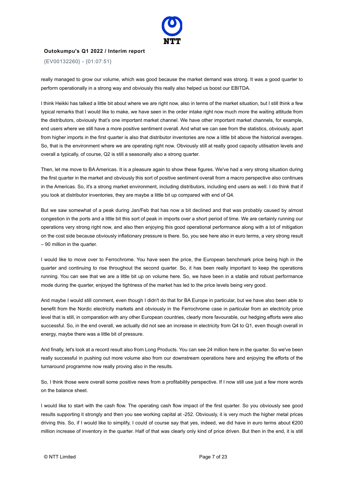

{EV00132260} - {01:07:51}

really managed to grow our volume, which was good because the market demand was strong. It was a good quarter to perform operationally in a strong way and obviously this really also helped us boost our EBITDA.

I think Heikki has talked a little bit about where we are right now, also in terms of the market situation, but I still think a few typical remarks that I would like to make, we have seen in the order intake right now much more the waiting attitude from the distributors, obviously that's one important market channel. We have other important market channels, for example, end users where we still have a more positive sentiment overall. And what we can see from the statistics, obviously, apart from higher imports in the first quarter is also that distributor inventories are now a little bit above the historical averages. So, that is the environment where we are operating right now. Obviously still at really good capacity utilisation levels and overall a typically, of course, Q2 is still a seasonally also a strong quarter.

Then, let me move to BA Americas. It is a pleasure again to show these figures. We've had a very strong situation during the first quarter in the market and obviously this sort of positive sentiment overall from a macro perspective also continues in the Americas. So, it's a strong market environment, including distributors, including end users as well. I do think that if you look at distributor inventories, they are maybe a little bit up compared with end of Q4.

But we saw somewhat of a peak during Jan/Feb that has now a bit declined and that was probably caused by almost congestion in the ports and a little bit this sort of peak in imports over a short period of time. We are certainly running our operations very strong right now, and also then enjoying this good operational performance along with a lot of mitigation on the cost side because obviously inflationary pressure is there. So, you see here also in euro terms, a very strong result – 90 million in the quarter.

I would like to move over to Ferrochrome. You have seen the price, the European benchmark price being high in the quarter and continuing to rise throughout the second quarter. So, it has been really important to keep the operations running. You can see that we are a little bit up on volume here. So, we have been in a stable and robust performance mode during the quarter, enjoyed the tightness of the market has led to the price levels being very good.

And maybe I would still comment, even though I didn't do that for BA Europe in particular, but we have also been able to benefit from the Nordic electricity markets and obviously in the Ferrochrome case in particular from an electricity price level that is still, in comparation with any other European countries, clearly more favourable, our hedging efforts were also successful. So, in the end overall, we actually did not see an increase in electricity from Q4 to Q1, even though overall in energy, maybe there was a little bit of pressure.

And finally, let's look at a record result also from Long Products. You can see 24 million here in the quarter. So we've been really successful in pushing out more volume also from our downstream operations here and enjoying the efforts of the turnaround programme now really proving also in the results.

So, I think those were overall some positive news from a profitability perspective. If I now still use just a few more words on the balance sheet.

I would like to start with the cash flow. The operating cash flow impact of the first quarter. So you obviously see good results supporting it strongly and then you see working capital at -252. Obviously, it is very much the higher metal prices driving this. So, if I would like to simplify, I could of course say that yes, indeed, we did have in euro terms about €200 million increase of inventory in the quarter. Half of that was clearly only kind of price driven. But then in the end, it is still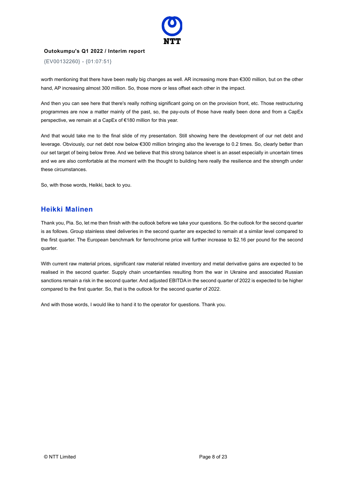

{EV00132260} - {01:07:51}

worth mentioning that there have been really big changes as well. AR increasing more than €300 million, but on the other hand, AP increasing almost 300 million. So, those more or less offset each other in the impact.

And then you can see here that there's really nothing significant going on on the provision front, etc. Those restructuring programmes are now a matter mainly of the past, so, the pay-outs of those have really been done and from a CapEx perspective, we remain at a CapEx of €180 million for this year.

And that would take me to the final slide of my presentation. Still showing here the development of our net debt and leverage. Obviously, our net debt now below €300 million bringing also the leverage to 0.2 times. So, clearly better than our set target of being below three. And we believe that this strong balance sheet is an asset especially in uncertain times and we are also comfortable at the moment with the thought to building here really the resilience and the strength under these circumstances.

So, with those words, Heikki, back to you.

### **Heikki Malinen**

Thank you, Pia. So, let me then finish with the outlook before we take your questions. So the outlook for the second quarter is as follows. Group stainless steel deliveries in the second quarter are expected to remain at a similar level compared to the first quarter. The European benchmark for ferrochrome price will further increase to \$2.16 per pound for the second quarter.

With current raw material prices, significant raw material related inventory and metal derivative gains are expected to be realised in the second quarter. Supply chain uncertainties resulting from the war in Ukraine and associated Russian sanctions remain a risk in the second quarter. And adjusted EBITDA in the second quarter of 2022 is expected to be higher compared to the first quarter. So, that is the outlook for the second quarter of 2022.

And with those words, I would like to hand it to the operator for questions. Thank you.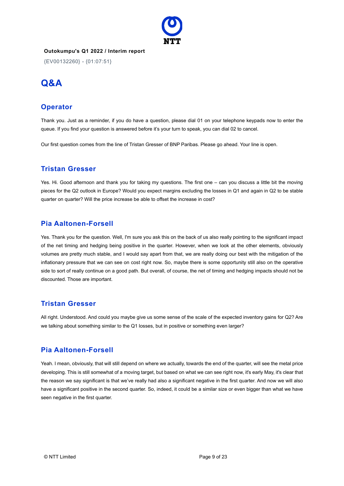

{EV00132260} - {01:07:51}

# **Q&A**

### **Operator**

Thank you. Just as a reminder, if you do have a question, please dial 01 on your telephone keypads now to enter the queue. If you find your question is answered before it's your turn to speak, you can dial 02 to cancel.

Our first question comes from the line of Tristan Gresser of BNP Paribas. Please go ahead. Your line is open.

### **Tristan Gresser**

Yes. Hi. Good afternoon and thank you for taking my questions. The first one – can you discuss a little bit the moving pieces for the Q2 outlook in Europe? Would you expect margins excluding the losses in Q1 and again in Q2 to be stable quarter on quarter? Will the price increase be able to offset the increase in cost?

### **Pia Aaltonen-Forsell**

Yes. Thank you for the question. Well, I'm sure you ask this on the back of us also really pointing to the significant impact of the net timing and hedging being positive in the quarter. However, when we look at the other elements, obviously volumes are pretty much stable, and I would say apart from that, we are really doing our best with the mitigation of the inflationary pressure that we can see on cost right now. So, maybe there is some opportunity still also on the operative side to sort of really continue on a good path. But overall, of course, the net of timing and hedging impacts should not be discounted. Those are important.

### **Tristan Gresser**

All right. Understood. And could you maybe give us some sense of the scale of the expected inventory gains for Q2? Are we talking about something similar to the Q1 losses, but in positive or something even larger?

### **Pia Aaltonen-Forsell**

Yeah. I mean, obviously, that will still depend on where we actually, towards the end of the quarter, will see the metal price developing. This is still somewhat of a moving target, but based on what we can see right now, it's early May, it's clear that the reason we say significant is that we've really had also a significant negative in the first quarter. And now we will also have a significant positive in the second quarter. So, indeed, it could be a similar size or even bigger than what we have seen negative in the first quarter.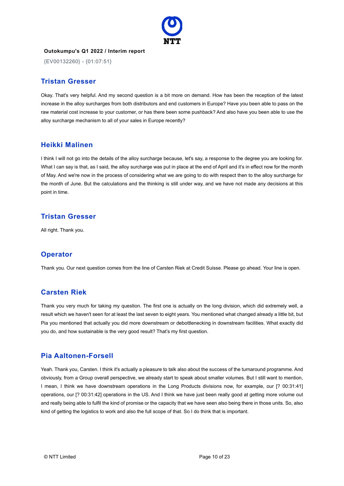

{EV00132260} - {01:07:51}

### **Tristan Gresser**

Okay. That's very helpful. And my second question is a bit more on demand. How has been the reception of the latest increase in the alloy surcharges from both distributors and end customers in Europe? Have you been able to pass on the raw material cost increase to your customer, or has there been some pushback? And also have you been able to use the alloy surcharge mechanism to all of your sales in Europe recently?

### **Heikki Malinen**

I think I will not go into the details of the alloy surcharge because, let's say, a response to the degree you are looking for. What I can say is that, as I said, the alloy surcharge was put in place at the end of April and it's in effect now for the month of May. And we're now in the process of considering what we are going to do with respect then to the alloy surcharge for the month of June. But the calculations and the thinking is still under way, and we have not made any decisions at this point in time.

### **Tristan Gresser**

All right. Thank you.

### **Operator**

Thank you. Our next question comes from the line of Carsten Riek at Credit Suisse. Please go ahead. Your line is open.

### **Carsten Riek**

Thank you very much for taking my question. The first one is actually on the long division, which did extremely well, a result which we haven't seen for at least the last seven to eight years. You mentioned what changed already a little bit, but Pia you mentioned that actually you did more downstream or debottlenecking in downstream facilities. What exactly did you do, and how sustainable is the very good result? That's my first question.

### **Pia Aaltonen-Forsell**

Yeah. Thank you, Carsten. I think it's actually a pleasure to talk also about the success of the turnaround programme. And obviously, from a Group overall perspective, we already start to speak about smaller volumes. But I still want to mention, I mean, I think we have downstream operations in the Long Products divisions now, for example, our [? 00:31:41] operations, our [? 00:31:42] operations in the US. And I think we have just been really good at getting more volume out and really being able to fulfil the kind of promise or the capacity that we have seen also being there in those units. So, also kind of getting the logistics to work and also the full scope of that. So I do think that is important.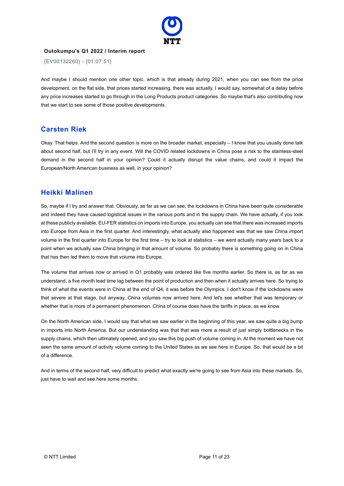

{EV00132260} - {01:07:51}

And maybe I should mention one other topic, which is that already during 2021, when you can see from the price development, on the flat side, that prices started increasing, there was actually, I would say, somewhat of a delay before any price increases started to go through in the Long Products product categories. So maybe that's also contributing now that we start to see some of those positive developments.

### **Carsten Riek**

Okay. That helps. And the second question is more on the broader market, especially  $-1$  know that you usually done talk about second half, but I'll try in any event. Will the COVID related lockdowns in China pose a risk to the stainless-steel demand in the second half in your opinion? Could it actually disrupt the value chains, and could it impact the European/North American business as well, in your opinion?

### **Heikki Malinen**

So, maybe if I try and answer that. Obviously, as far as we can see, the lockdowns in China have been quite considerable and indeed they have caused logistical issues in the various ports and in the supply chain. We have actually, if you look at these publicly available, EU-FER statistics on imports into Europe, you actually can see that there was increased imports into Europe from Asia in the first quarter. And interestingly, what actually also happened was that we saw China import volume in the first quarter into Europe for the first time – try to look at statistics – we went actually many years back to a point when we actually saw China bringing in that amount of volume. So probably there is something going on in China that has then led them to move that volume into Europe.

The volume that arrives now or arrived in Q1 probably was ordered like five months earlier. So there is, as far as we understand, a five month lead time lag between the point of production and then when it actually arrives here. So trying to think of what the events were in China at the end of Q4, it was before the Olympics. I don't know if the lockdowns were that severe at that stage, but anyway, China volumes now arrived here. And let's see whether that was temporary or whether that is more of a permanent phenomenon. China of course does have the tariffs in place, as we know.

On the North American side, I would say that what we saw earlier in the beginning of this year, we saw quite a big bump in imports into North America. But our understanding was that that was more a result of just simply bottlenecks in the supply chains, which then ultimately opened, and you saw this big push of volume coming in. At the moment we have not seen the same amount of activity volume coming to the United States as we see here in Europe. So, that would be a bit of a difference.

And in terms of the second half, very difficult to predict what exactly we're going to see from Asia into these markets. So, just have to wait and see here some months.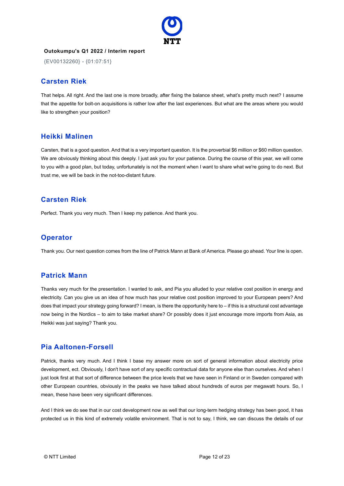

{EV00132260} - {01:07:51}

### **Carsten Riek**

That helps. All right. And the last one is more broadly, after fixing the balance sheet, what's pretty much next? I assume that the appetite for bolt-on acquisitions is rather low after the last experiences. But what are the areas where you would like to strengthen your position?

### **Heikki Malinen**

Carsten, that is a good question. And that is a very important question. It is the proverbial \$6 million or \$60 million question. We are obviously thinking about this deeply. I just ask you for your patience. During the course of this year, we will come to you with a good plan, but today, unfortunately is not the moment when I want to share what we're going to do next. But trust me, we will be back in the not-too-distant future.

### **Carsten Riek**

Perfect. Thank you very much. Then I keep my patience. And thank you.

### **Operator**

Thank you. Our next question comes from the line of Patrick Mann at Bank of America. Please go ahead. Your line is open.

### **Patrick Mann**

Thanks very much for the presentation. I wanted to ask, and Pia you alluded to your relative cost position in energy and electricity. Can you give us an idea of how much has your relative cost position improved to your European peers? And does that impact your strategy going forward? I mean, is there the opportunity here to – if this is a structural cost advantage now being in the Nordics – to aim to take market share? Or possibly does it just encourage more imports from Asia, as Heikki was just saying? Thank you.

### **Pia Aaltonen-Forsell**

Patrick, thanks very much. And I think I base my answer more on sort of general information about electricity price development, ect. Obviously, I don't have sort of any specific contractual data for anyone else than ourselves. And when I just look first at that sort of difference between the price levels that we have seen in Finland or in Sweden compared with other European countries, obviously in the peaks we have talked about hundreds of euros per megawatt hours. So, I mean, these have been very significant differences.

And I think we do see that in our cost development now as well that our long-term hedging strategy has been good, it has protected us in this kind of extremely volatile environment. That is not to say, I think, we can discuss the details of our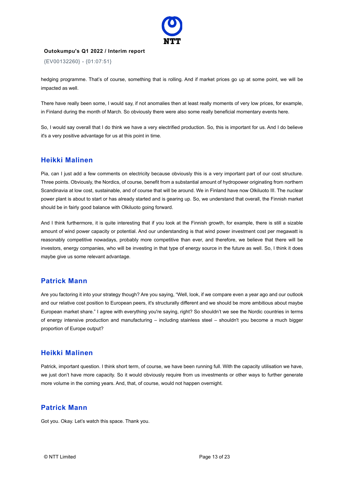

{EV00132260} - {01:07:51}

hedging programme. That's of course, something that is rolling. And if market prices go up at some point, we will be impacted as well.

There have really been some, I would say, if not anomalies then at least really moments of very low prices, for example, in Finland during the month of March. So obviously there were also some really beneficial momentary events here.

So, I would say overall that I do think we have a very electrified production. So, this is important for us. And I do believe it's a very positive advantage for us at this point in time.

### **Heikki Malinen**

Pia, can I just add a few comments on electricity because obviously this is a very important part of our cost structure. Three points. Obviously, the Nordics, of course, benefit from a substantial amount of hydropower originating from northern Scandinavia at low cost, sustainable, and of course that will be around. We in Finland have now Olkiluoto III. The nuclear power plant is about to start or has already started and is gearing up. So, we understand that overall, the Finnish market should be in fairly good balance with Olkiluoto going forward.

And I think furthermore, it is quite interesting that if you look at the Finnish growth, for example, there is still a sizable amount of wind power capacity or potential. And our understanding is that wind power investment cost per megawatt is reasonably competitive nowadays, probably more competitive than ever, and therefore, we believe that there will be investors, energy companies, who will be investing in that type of energy source in the future as well. So, I think it does maybe give us some relevant advantage.

### **Patrick Mann**

Are you factoring it into your strategy though? Are you saying, "Well, look, if we compare even a year ago and our outlook and our relative cost position to European peers, it's structurally different and we should be more ambitious about maybe European market share." I agree with everything you're saying, right? So shouldn't we see the Nordic countries in terms of energy intensive production and manufacturing – including stainless steel – shouldn't you become a much bigger proportion of Europe output?

### **Heikki Malinen**

Patrick, important question. I think short term, of course, we have been running full. With the capacity utilisation we have, we just don't have more capacity. So it would obviously require from us investments or other ways to further generate more volume in the coming years. And, that, of course, would not happen overnight.

### **Patrick Mann**

Got you. Okay. Let's watch this space. Thank you.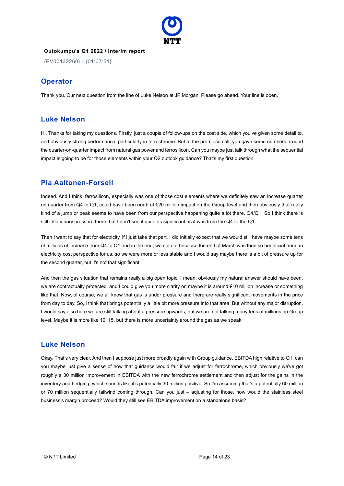

{EV00132260} - {01:07:51}

### **Operator**

Thank you. Our next question from the line of Luke Nelson at JP Morgan. Please go ahead. Your line is open.

### **Luke Nelson**

Hi. Thanks for taking my questions. Firstly, just a couple of follow-ups on the cost side, which you've given some detail to, and obviously strong performance, particularly in ferrochrome. But at the pre-close call, you gave some numbers around the quarter-on-quarter impact from natural gas power and ferrosilicon. Can you maybe just talk through what the sequential impact is going to be for those elements within your Q2 outlook guidance? That's my first question.

### **Pia Aaltonen-Forsell**

Indeed. And I think, ferrosilicon, especially was one of those cost elements where we definitely saw an increase quarter on quarter from Q4 to Q1, could have been north of €20 million impact on the Group level and then obviously that really kind of a jump or peak seems to have been from our perspective happening quite a lot there, Q4/Q1. So I think there is still inflationary pressure there, but I don't see it quite as significant as it was from the Q4 to the Q1.

Then I want to say that for electricity, if I just take that part, I did initially expect that we would still have maybe some tens of millions of increase from Q4 to Q1 and in the end, we did not because the end of March was then so beneficial from an electricity cost perspective for us, so we were more or less stable and I would say maybe there is a bit of pressure up for the second quarter, but it's not that significant.

And then the gas situation that remains really a big open topic, I mean, obviously my natural answer should have been, we are contractually protected, and I could give you more clarity on maybe it is around €10 million increase or something like that. Now, of course, we all know that gas is under pressure and there are really significant movements in the price from day to day. So, I think that brings potentially a little bit more pressure into that area. But without any major disruption, I would say also here we are still talking about a pressure upwards, but we are not talking many tens of millions on Group level. Maybe it is more like 10, 15, but there is more uncertainty around the gas as we speak.

### **Luke Nelson**

Okay. That's very clear. And then I suppose just more broadly again with Group guidance, EBITDA high relative to Q1, can you maybe just give a sense of how that guidance would fair if we adjust for ferrochrome, which obviously we've got roughly a 30 million improvement in EBITDA with the new ferrochrome settlement and then adjust for the gains in the inventory and hedging, which sounds like it's potentially 30 million positive. So I'm assuming that's a potentially 60 million or 70 million sequentially tailwind coming through. Can you just – adjusting for those, how would the stainless steel business's margin proceed? Would they still see EBITDA improvement on a standalone basis?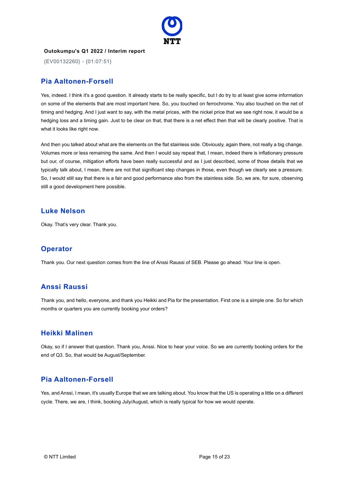

{EV00132260} - {01:07:51}

### **Pia Aaltonen-Forsell**

Yes, indeed. I think it's a good question. It already starts to be really specific, but I do try to at least give some information on some of the elements that are most important here. So, you touched on ferrochrome. You also touched on the net of timing and hedging. And I just want to say, with the metal prices, with the nickel price that we see right now, it would be a hedging loss and a timing gain. Just to be clear on that, that there is a net effect then that will be clearly positive. That is what it looks like right now.

And then you talked about what are the elements on the flat stainless side. Obviously, again there, not really a big change. Volumes more or less remaining the same. And then I would say repeat that, I mean, indeed there is inflationary pressure but our, of course, mitigation efforts have been really successful and as I just described, some of those details that we typically talk about, I mean, there are not that significant step changes in those, even though we clearly see a pressure. So, I would still say that there is a fair and good performance also from the stainless side. So, we are, for sure, observing still a good development here possible.

#### **Luke Nelson**

Okay. That's very clear. Thank you.

### **Operator**

Thank you. Our next question comes from the line of Anssi Raussi of SEB. Please go ahead. Your line is open.

### **Anssi Raussi**

Thank you, and hello, everyone, and thank you Heikki and Pia for the presentation. First one is a simple one. So for which months or quarters you are currently booking your orders?

### **Heikki Malinen**

Okay, so if I answer that question. Thank you, Anssi. Nice to hear your voice. So we are currently booking orders for the end of Q3. So, that would be August/September.

### **Pia Aaltonen-Forsell**

Yes, and Anssi, I mean, it's usually Europe that we are talking about. You know that the US is operating a little on a different cycle. There, we are, I think, booking July/August, which is really typical for how we would operate.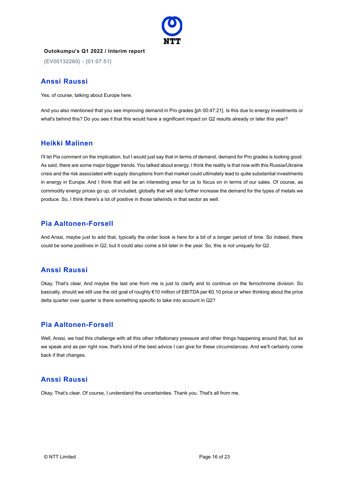

{EV00132260} - {01:07:51}

### **Anssi Raussi**

Yes, of course, talking about Europe here.

And you also mentioned that you see improving demand in Pro grades [ph 00:47:21]. Is this due to energy investments or what's behind this? Do you see it that this would have a significant impact on Q2 results already or later this year?

### **Heikki Malinen**

I'll let Pia comment on the implication, but I would just say that in terms of demand, demand for Pro grades is looking good. As said, there are some major bigger trends. You talked about energy. I think the reality is that now with this Russia/Ukraine crisis and the risk associated with supply disruptions from that market could ultimately lead to quite substantial investments in energy in Europe. And I think that will be an interesting area for us to focus on in terms of our sales. Of course, as commodity energy prices go up, oil included, globally that will also further increase the demand for the types of metals we produce. So, I think there's a lot of positive in those tailwinds in that sector as well.

### **Pia Aaltonen-Forsell**

And Anssi, maybe just to add that, typically the order book is here for a bit of a longer period of time. So indeed, there could be some positives in Q2, but it could also come a bit later in the year. So, this is not uniquely for Q2.

### **Anssi Raussi**

Okay. That's clear. And maybe the last one from me is just to clarify and to continue on the ferrochrome division. So basically, should we still use the old goal of roughly €10 million of EBITDA per €0.10 price or when thinking about the price delta quarter over quarter is there something specific to take into account in Q2?

### **Pia Aaltonen-Forsell**

Well, Anssi, we had this challenge with all this other inflationary pressure and other things happening around that, but as we speak and as per right now, that's kind of the best advice I can give for these circumstances. And we'll certainly come back if that changes.

### **Anssi Raussi**

Okay. That's clear. Of course, I understand the uncertainties. Thank you. That's all from me.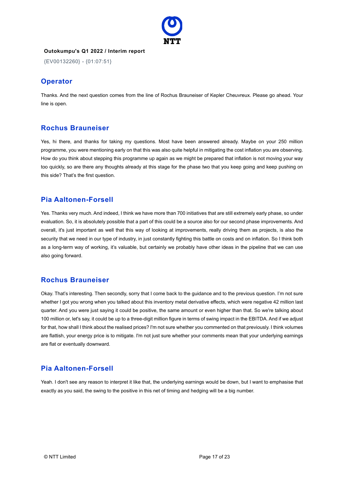

{EV00132260} - {01:07:51}

### **Operator**

Thanks. And the next question comes from the line of Rochus Brauneiser of Kepler Cheuvreux. Please go ahead. Your line is open.

### **Rochus Brauneiser**

Yes, hi there, and thanks for taking my questions. Most have been answered already. Maybe on your 250 million programme, you were mentioning early on that this was also quite helpful in mitigating the cost inflation you are observing. How do you think about stepping this programme up again as we might be prepared that inflation is not moving your way too quickly, so are there any thoughts already at this stage for the phase two that you keep going and keep pushing on this side? That's the first question.

### **Pia Aaltonen-Forsell**

Yes. Thanks very much. And indeed, I think we have more than 700 initiatives that are still extremely early phase, so under evaluation. So, it is absolutely possible that a part of this could be a source also for our second phase improvements. And overall, it's just important as well that this way of looking at improvements, really driving them as projects, is also the security that we need in our type of industry, in just constantly fighting this battle on costs and on inflation. So I think both as a long-term way of working, it's valuable, but certainly we probably have other ideas in the pipeline that we can use also going forward.

### **Rochus Brauneiser**

Okay. That's interesting. Then secondly, sorry that I come back to the guidance and to the previous question. I'm not sure whether I got you wrong when you talked about this inventory metal derivative effects, which were negative 42 million last quarter. And you were just saying it could be positive, the same amount or even higher than that. So we're talking about 100 million or, let's say, it could be up to a three-digit million figure in terms of swing impact in the EBITDA. And if we adjust for that, how shall I think about the realised prices? I'm not sure whether you commented on that previously. I think volumes are flattish, your energy price is to mitigate. I'm not just sure whether your comments mean that your underlying earnings are flat or eventually downward.

### **Pia Aaltonen-Forsell**

Yeah. I don't see any reason to interpret it like that, the underlying earnings would be down, but I want to emphasise that exactly as you said, the swing to the positive in this net of timing and hedging will be a big number.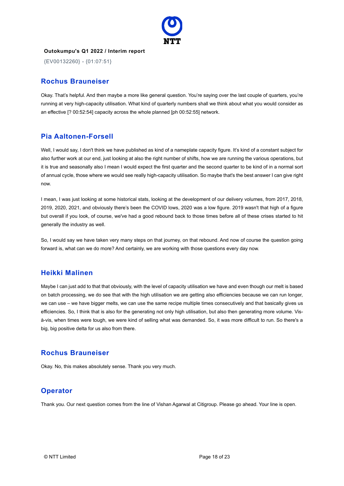

{EV00132260} - {01:07:51}

### **Rochus Brauneiser**

Okay. That's helpful. And then maybe a more like general question. You're saying over the last couple of quarters, you're running at very high-capacity utilisation. What kind of quarterly numbers shall we think about what you would consider as an effective [? 00:52:54] capacity across the whole planned [ph 00:52:55] network.

### **Pia Aaltonen-Forsell**

Well, I would say, I don't think we have published as kind of a nameplate capacity figure. It's kind of a constant subject for also further work at our end, just looking at also the right number of shifts, how we are running the various operations, but it is true and seasonally also I mean I would expect the first quarter and the second quarter to be kind of in a normal sort of annual cycle, those where we would see really high-capacity utilisation. So maybe that's the best answer I can give right now.

I mean, I was just looking at some historical stats, looking at the development of our delivery volumes, from 2017, 2018, 2019, 2020, 2021, and obviously there's been the COVID lows, 2020 was a low figure. 2019 wasn't that high of a figure but overall if you look, of course, we've had a good rebound back to those times before all of these crises started to hit generally the industry as well.

So, I would say we have taken very many steps on that journey, on that rebound. And now of course the question going forward is, what can we do more? And certainly, we are working with those questions every day now.

### **Heikki Malinen**

Maybe I can just add to that that obviously, with the level of capacity utilisation we have and even though our melt is based on batch processing, we do see that with the high utilisation we are getting also efficiencies because we can run longer, we can use – we have bigger melts, we can use the same recipe multiple times consecutively and that basically gives us efficiencies. So, I think that is also for the generating not only high utilisation, but also then generating more volume. Visà-vis, when times were tough, we were kind of selling what was demanded. So, it was more difficult to run. So there's a big, big positive delta for us also from there.

### **Rochus Brauneiser**

Okay. No, this makes absolutely sense. Thank you very much.

### **Operator**

Thank you. Our next question comes from the line of Vishan Agarwal at Citigroup. Please go ahead. Your line is open.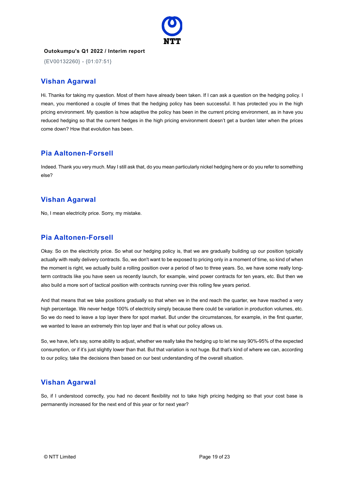

{EV00132260} - {01:07:51}

### **Vishan Agarwal**

Hi. Thanks for taking my question. Most of them have already been taken. If I can ask a question on the hedging policy. I mean, you mentioned a couple of times that the hedging policy has been successful. It has protected you in the high pricing environment. My question is how adaptive the policy has been in the current pricing environment, as in have you reduced hedging so that the current hedges in the high pricing environment doesn't get a burden later when the prices come down? How that evolution has been.

### **Pia Aaltonen-Forsell**

Indeed. Thank you very much. May I still ask that, do you mean particularly nickel hedging here or do you refer to something else?

### **Vishan Agarwal**

No, I mean electricity price. Sorry, my mistake.

### **Pia Aaltonen-Forsell**

Okay. So on the electricity price. So what our hedging policy is, that we are gradually building up our position typically actually with really delivery contracts. So, we don't want to be exposed to pricing only in a moment of time, so kind of when the moment is right, we actually build a rolling position over a period of two to three years. So, we have some really longterm contracts like you have seen us recently launch, for example, wind power contracts for ten years, etc. But then we also build a more sort of tactical position with contracts running over this rolling few years period.

And that means that we take positions gradually so that when we in the end reach the quarter, we have reached a very high percentage. We never hedge 100% of electricity simply because there could be variation in production volumes, etc. So we do need to leave a top layer there for spot market. But under the circumstances, for example, in the first quarter, we wanted to leave an extremely thin top layer and that is what our policy allows us.

So, we have, let's say, some ability to adjust, whether we really take the hedging up to let me say 90%-95% of the expected consumption, or if it's just slightly lower than that. But that variation is not huge. But that's kind of where we can, according to our policy, take the decisions then based on our best understanding of the overall situation.

### **Vishan Agarwal**

So, if I understood correctly, you had no decent flexibility not to take high pricing hedging so that your cost base is permanently increased for the next end of this year or for next year?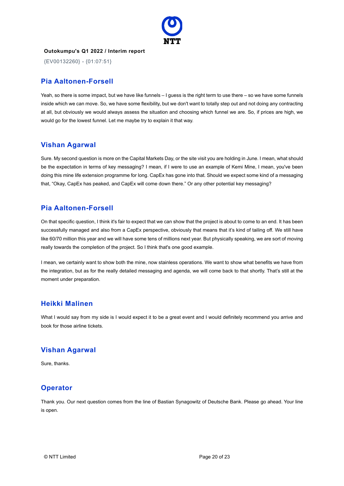

{EV00132260} - {01:07:51}

### **Pia Aaltonen-Forsell**

Yeah, so there is some impact, but we have like funnels – I guess is the right term to use there – so we have some funnels inside which we can move. So, we have some flexibility, but we don't want to totally step out and not doing any contracting at all, but obviously we would always assess the situation and choosing which funnel we are. So, if prices are high, we would go for the lowest funnel. Let me maybe try to explain it that way.

### **Vishan Agarwal**

Sure. My second question is more on the Capital Markets Day, or the site visit you are holding in June. I mean, what should be the expectation in terms of key messaging? I mean, if I were to use an example of Kemi Mine, I mean, you've been doing this mine life extension programme for long. CapEx has gone into that. Should we expect some kind of a messaging that, "Okay, CapEx has peaked, and CapEx will come down there." Or any other potential key messaging?

### **Pia Aaltonen-Forsell**

On that specific question, I think it's fair to expect that we can show that the project is about to come to an end. It has been successfully managed and also from a CapEx perspective, obviously that means that it's kind of tailing off. We still have like 60/70 million this year and we will have some tens of millions next year. But physically speaking, we are sort of moving really towards the completion of the project. So I think that's one good example.

I mean, we certainly want to show both the mine, now stainless operations. We want to show what benefits we have from the integration, but as for the really detailed messaging and agenda, we will come back to that shortly. That's still at the moment under preparation.

### **Heikki Malinen**

What I would say from my side is I would expect it to be a great event and I would definitely recommend you arrive and book for those airline tickets.

### **Vishan Agarwal**

Sure, thanks.

### **Operator**

Thank you. Our next question comes from the line of Bastian Synagowitz of Deutsche Bank. Please go ahead. Your line is open.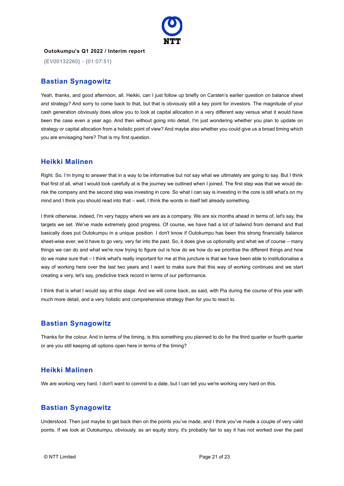

{EV00132260} - {01:07:51}

### **Bastian Synagowitz**

Yeah, thanks, and good afternoon, all. Heikki, can I just follow up briefly on Carsten's earlier question on balance sheet and strategy? And sorry to come back to that, but that is obviously still a key point for investors. The magnitude of your cash generation obviously does allow you to look at capital allocation in a very different way versus what it would have been the case even a year ago. And then without going into detail, I'm just wondering whether you plan to update on strategy or capital allocation from a holistic point of view? And maybe also whether you could give us a broad timing which you are envisaging here? That is my first question.

### **Heikki Malinen**

Right. So, I'm trying to answer that in a way to be informative but not say what we ultimately are going to say. But I think that first of all, what I would look carefully at is the journey we outlined when I joined. The first step was that we would derisk the company and the second step was investing in core. So what I can say is investing in the core is still what's on my mind and I think you should read into that – well, I think the words in itself tell already something.

I think otherwise, indeed, I'm very happy where we are as a company. We are six months ahead in terms of, let's say, the targets we set. We've made extremely good progress. Of course, we have had a lot of tailwind from demand and that basically does put Outokumpu in a unique position. I don't know if Outokumpu has been this strong financially balance sheet-wise ever, we'd have to go very, very far into the past. So, it does give us optionality and what we of course – many things we can do and what we're now trying to figure out is how do we how do we prioritise the different things and how do we make sure that – I think what's really important for me at this juncture is that we have been able to institutionalise a way of working here over the last two years and I want to make sure that this way of working continues and we start creating a very, let's say, predictive track record in terms of our performance.

I think that is what I would say at this stage. And we will come back, as said, with Pia during the course of this year with much more detail, and a very holistic and comprehensive strategy then for you to react to.

### **Bastian Synagowitz**

Thanks for the colour. And in terms of the timing, is this something you planned to do for the third quarter or fourth quarter or are you still keeping all options open here in terms of the timing?

### **Heikki Malinen**

We are working very hard. I don't want to commit to a date, but I can tell you we're working very hard on this.

### **Bastian Synagowitz**

Understood. Then just maybe to get back then on the points you've made, and I think you've made a couple of very valid points. If we look at Outokumpu, obviously, as an equity story, it's probably fair to say it has not worked over the past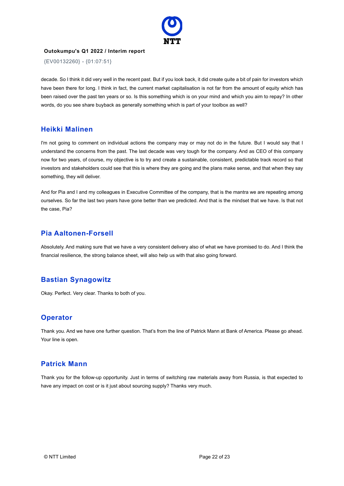

{EV00132260} - {01:07:51}

decade. So I think it did very well in the recent past. But if you look back, it did create quite a bit of pain for investors which have been there for long. I think in fact, the current market capitalisation is not far from the amount of equity which has been raised over the past ten years or so. Is this something which is on your mind and which you aim to repay? In other words, do you see share buyback as generally something which is part of your toolbox as well?

### **Heikki Malinen**

I'm not going to comment on individual actions the company may or may not do in the future. But I would say that I understand the concerns from the past. The last decade was very tough for the company. And as CEO of this company now for two years, of course, my objective is to try and create a sustainable, consistent, predictable track record so that investors and stakeholders could see that this is where they are going and the plans make sense, and that when they say something, they will deliver.

And for Pia and I and my colleagues in Executive Committee of the company, that is the mantra we are repeating among ourselves. So far the last two years have gone better than we predicted. And that is the mindset that we have. Is that not the case, Pia?

### **Pia Aaltonen-Forsell**

Absolutely. And making sure that we have a very consistent delivery also of what we have promised to do. And I think the financial resilience, the strong balance sheet, will also help us with that also going forward.

### **Bastian Synagowitz**

Okay. Perfect. Very clear. Thanks to both of you.

### **Operator**

Thank you. And we have one further question. That's from the line of Patrick Mann at Bank of America. Please go ahead. Your line is open.

### **Patrick Mann**

Thank you for the follow-up opportunity. Just in terms of switching raw materials away from Russia, is that expected to have any impact on cost or is it just about sourcing supply? Thanks very much.